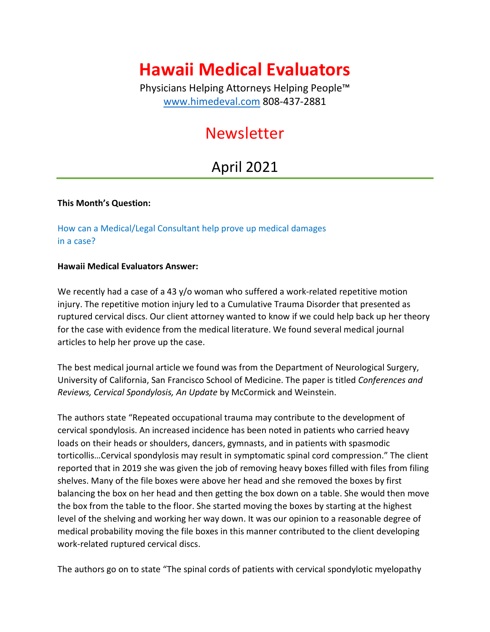# **Hawaii Medical Evaluators**

Physicians Helping Attorneys Helping People™ [www.himedeval.com](http://www.himedeval.com/) 808-437-2881

## Newsletter

### April 2021

### **This Month's Question:**

How can a Medical/Legal Consultant help prove up medical damages in a case?

#### **Hawaii Medical Evaluators Answer:**

We recently had a case of a 43 y/o woman who suffered a work-related repetitive motion injury. The repetitive motion injury led to a Cumulative Trauma Disorder that presented as ruptured cervical discs. Our client attorney wanted to know if we could help back up her theory for the case with evidence from the medical literature. We found several medical journal articles to help her prove up the case.

The best medical journal article we found was from the Department of Neurological Surgery, University of California, San Francisco School of Medicine. The paper is titled *Conferences and Reviews, Cervical Spondylosis, An Update* by McCormick and Weinstein.

The authors state "Repeated occupational trauma may contribute to the development of cervical spondylosis. An increased incidence has been noted in patients who carried heavy loads on their heads or shoulders, dancers, gymnasts, and in patients with spasmodic torticollis…Cervical spondylosis may result in symptomatic spinal cord compression." The client reported that in 2019 she was given the job of removing heavy boxes filled with files from filing shelves. Many of the file boxes were above her head and she removed the boxes by first balancing the box on her head and then getting the box down on a table. She would then move the box from the table to the floor. She started moving the boxes by starting at the highest level of the shelving and working her way down. It was our opinion to a reasonable degree of medical probability moving the file boxes in this manner contributed to the client developing work-related ruptured cervical discs.

The authors go on to state "The spinal cords of patients with cervical spondylotic myelopathy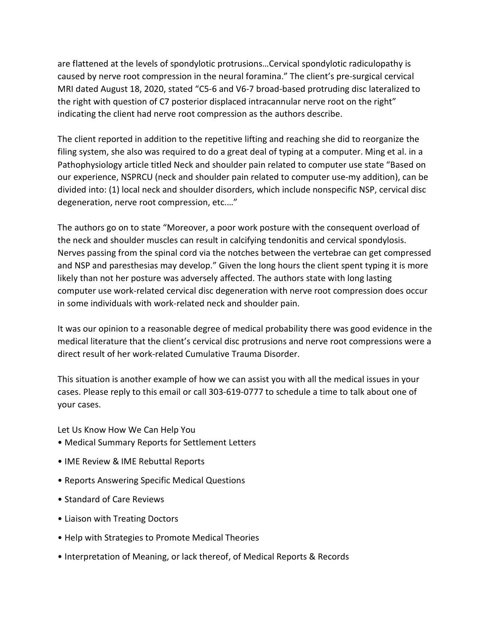are flattened at the levels of spondylotic protrusions…Cervical spondylotic radiculopathy is caused by nerve root compression in the neural foramina." The client's pre-surgical cervical MRI dated August 18, 2020, stated "C5-6 and V6-7 broad-based protruding disc lateralized to the right with question of C7 posterior displaced intracannular nerve root on the right" indicating the client had nerve root compression as the authors describe.

The client reported in addition to the repetitive lifting and reaching she did to reorganize the filing system, she also was required to do a great deal of typing at a computer. Ming et al. in a Pathophysiology article titled Neck and shoulder pain related to computer use state "Based on our experience, NSPRCU (neck and shoulder pain related to computer use-my addition), can be divided into: (1) local neck and shoulder disorders, which include nonspecific NSP, cervical disc degeneration, nerve root compression, etc.…"

The authors go on to state "Moreover, a poor work posture with the consequent overload of the neck and shoulder muscles can result in calcifying tendonitis and cervical spondylosis. Nerves passing from the spinal cord via the notches between the vertebrae can get compressed and NSP and paresthesias may develop." Given the long hours the client spent typing it is more likely than not her posture was adversely affected. The authors state with long lasting computer use work-related cervical disc degeneration with nerve root compression does occur in some individuals with work-related neck and shoulder pain.

It was our opinion to a reasonable degree of medical probability there was good evidence in the medical literature that the client's cervical disc protrusions and nerve root compressions were a direct result of her work-related Cumulative Trauma Disorder.

This situation is another example of how we can assist you with all the medical issues in your cases. Please reply to this email or call 303-619-0777 to schedule a time to talk about one of your cases.

Let Us Know How We Can Help You

- Medical Summary Reports for Settlement Letters
- IME Review & IME Rebuttal Reports
- Reports Answering Specific Medical Questions
- Standard of Care Reviews
- Liaison with Treating Doctors
- Help with Strategies to Promote Medical Theories
- Interpretation of Meaning, or lack thereof, of Medical Reports & Records